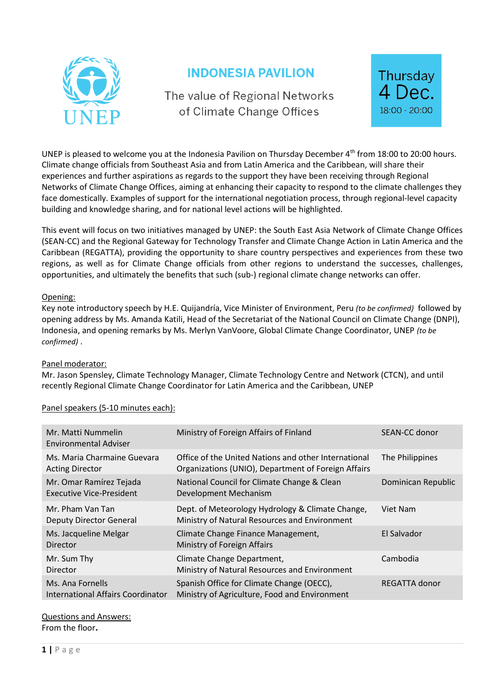

# **INDONESIA PAVILION**

The value of Regional Networks of Climate Change Offices



UNEP is pleased to welcome you at the Indonesia Pavilion on Thursday December 4<sup>th</sup> from 18:00 to 20:00 hours. Climate change officials from Southeast Asia and from Latin America and the Caribbean, will share their experiences and further aspirations as regards to the support they have been receiving through Regional Networks of Climate Change Offices, aiming at enhancing their capacity to respond to the climate challenges they face domestically. Examples of support for the international negotiation process, through regional-level capacity building and knowledge sharing, and for national level actions will be highlighted.

This event will focus on two initiatives managed by UNEP: the South East Asia Network of Climate Change Offices (SEAN-CC) and the Regional Gateway for Technology Transfer and Climate Change Action in Latin America and the Caribbean (REGATTA), providing the opportunity to share country perspectives and experiences from these two regions, as well as for Climate Change officials from other regions to understand the successes, challenges, opportunities, and ultimately the benefits that such (sub-) regional climate change networks can offer.

#### Opening:

Key note introductory speech by H.E. Quijandría, Vice Minister of Environment, Peru *(to be confirmed)* followed by opening address by Ms. Amanda Katili, Head of the Secretariat of the National Council on Climate Change (DNPI), Indonesia, and opening remarks by Ms. Merlyn VanVoore, Global Climate Change Coordinator, UNEP *(to be confirmed)* .

#### Panel moderator:

Mr. Jason Spensley, Climate Technology Manager, Climate Technology Centre and Network (CTCN), and until recently Regional Climate Change Coordinator for Latin America and the Caribbean, UNEP

## Panel speakers (5-10 minutes each):

| Mr. Matti Nummelin<br>Environmental Adviser           | Ministry of Foreign Affairs of Finland                                                                      | SEAN-CC donor      |
|-------------------------------------------------------|-------------------------------------------------------------------------------------------------------------|--------------------|
| Ms. Maria Charmaine Guevara<br><b>Acting Director</b> | Office of the United Nations and other International<br>Organizations (UNIO), Department of Foreign Affairs | The Philippines    |
| Mr. Omar Ramírez Tejada<br>Executive Vice-President   | National Council for Climate Change & Clean<br>Development Mechanism                                        | Dominican Republic |
| Mr. Pham Van Tan<br><b>Deputy Director General</b>    | Dept. of Meteorology Hydrology & Climate Change,<br>Ministry of Natural Resources and Environment           | Viet Nam           |
| Ms. Jacqueline Melgar<br>Director                     | Climate Change Finance Management,<br>Ministry of Foreign Affairs                                           | El Salvador        |
| Mr. Sum Thy<br>Director                               | Climate Change Department,<br>Ministry of Natural Resources and Environment                                 | Cambodia           |
| Ms. Ana Fornells<br>International Affairs Coordinator | Spanish Office for Climate Change (OECC),<br>Ministry of Agriculture, Food and Environment                  | REGATTA donor      |

## Questions and Answers:

From the floor**.**